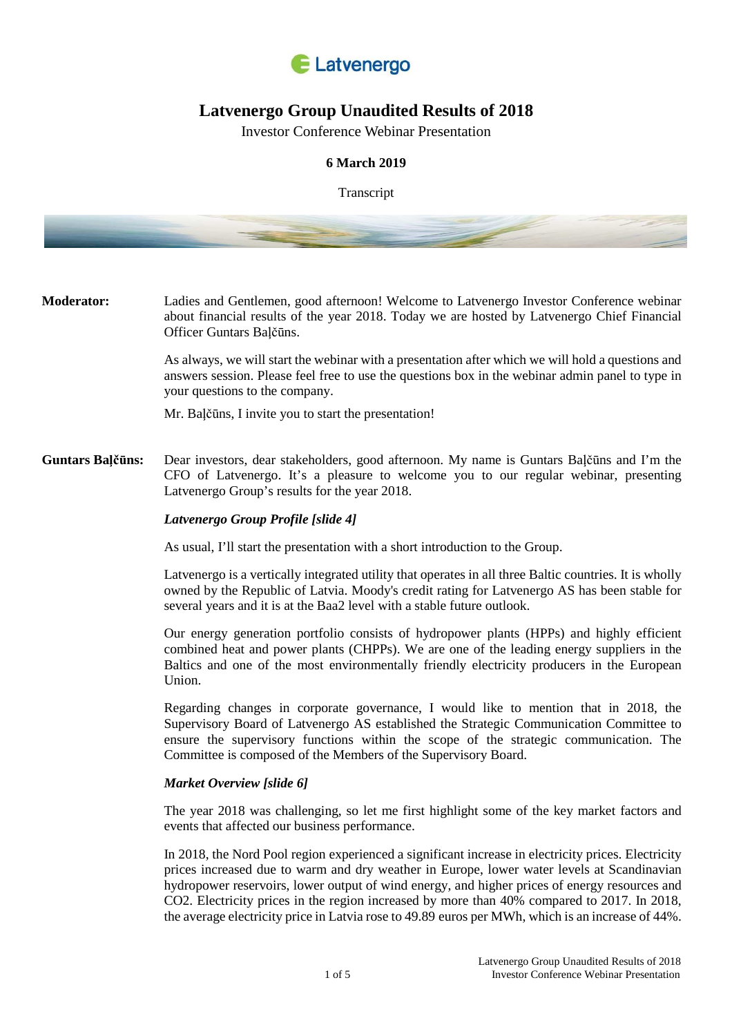

# **Latvenergo Group Unaudited Results of 2018**

Investor Conference Webinar Presentation

# **6 March 2019**

Transcript



**Moderator:** Ladies and Gentlemen, good afternoon! Welcome to Latvenergo Investor Conference webinar about financial results of the year 2018. Today we are hosted by Latvenergo Chief Financial Officer Guntars Baļčūns.

> As always, we will start the webinar with a presentation after which we will hold a questions and answers session. Please feel free to use the questions box in the webinar admin panel to type in your questions to the company.

Mr. Baļčūns, I invite you to start the presentation!

**Guntars Baļčūns:** Dear investors, dear stakeholders, good afternoon. My name is Guntars Baļčūns and I'm the CFO of Latvenergo. It's a pleasure to welcome you to our regular webinar, presenting Latvenergo Group's results for the year 2018.

## *Latvenergo Group Profile [slide 4]*

As usual, I'll start the presentation with a short introduction to the Group.

Latvenergo is a vertically integrated utility that operates in all three Baltic countries. It is wholly owned by the Republic of Latvia. Moody's credit rating for Latvenergo AS has been stable for several years and it is at the Baa2 level with a stable future outlook.

Our energy generation portfolio consists of hydropower plants (HPPs) and highly efficient combined heat and power plants (CHPPs). We are one of the leading energy suppliers in the Baltics and one of the most environmentally friendly electricity producers in the European Union.

Regarding changes in corporate governance, I would like to mention that in 2018, the Supervisory Board of Latvenergo AS established the Strategic Communication Committee to ensure the supervisory functions within the scope of the strategic communication. The Committee is composed of the Members of the Supervisory Board.

## *Market Overview [slide 6]*

The year 2018 was challenging, so let me first highlight some of the key market factors and events that affected our business performance.

In 2018, the Nord Pool region experienced a significant increase in electricity prices. Electricity prices increased due to warm and dry weather in Europe, lower water levels at Scandinavian hydropower reservoirs, lower output of wind energy, and higher prices of energy resources and CO2. Electricity prices in the region increased by more than 40% compared to 2017. In 2018, the average electricity price in Latvia rose to 49.89 euros per MWh, which is an increase of 44%.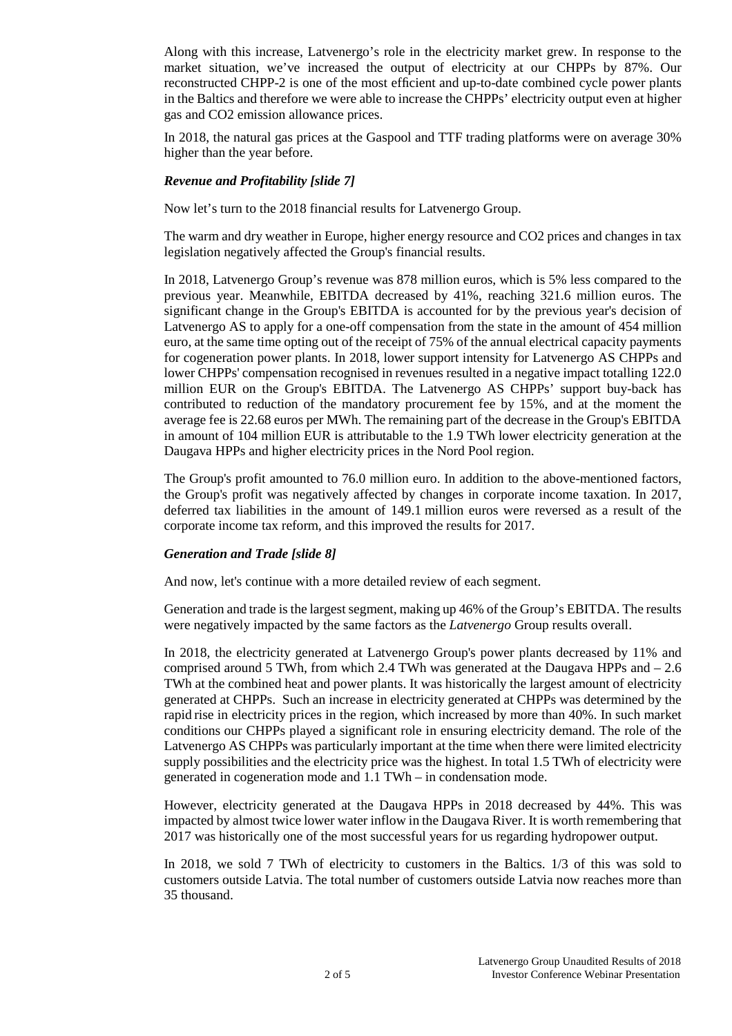Along with this increase, Latvenergo's role in the electricity market grew. In response to the market situation, we've increased the output of electricity at our CHPPs by 87%. Our reconstructed CHPP-2 is one of the most efficient and up-to-date combined cycle power plants in the Baltics and therefore we were able to increase the CHPPs' electricity output even at higher gas and CO2 emission allowance prices.

In 2018, the natural gas prices at the Gaspool and TTF trading platforms were on average 30% higher than the year before.

# *Revenue and Profitability [slide 7]*

Now let's turn to the 2018 financial results for Latvenergo Group.

The warm and dry weather in Europe, higher energy resource and CO2 prices and changes in tax legislation negatively affected the Group's financial results.

In 2018, Latvenergo Group's revenue was 878 million euros, which is 5% less compared to the previous year. Meanwhile, EBITDA decreased by 41%, reaching 321.6 million euros. The significant change in the Group's EBITDA is accounted for by the previous year's decision of Latvenergo AS to apply for a one-off compensation from the state in the amount of 454 million euro, at the same time opting out of the receipt of 75% of the annual electrical capacity payments for cogeneration power plants. In 2018, lower support intensity for Latvenergo AS CHPPs and lower CHPPs' compensation recognised in revenues resulted in a negative impact totalling 122.0 million EUR on the Group's EBITDA. The Latvenergo AS CHPPs' support buy-back has contributed to reduction of the mandatory procurement fee by 15%, and at the moment the average fee is 22.68 euros per MWh. The remaining part of the decrease in the Group's EBITDA in amount of 104 million EUR is attributable to the 1.9 TWh lower electricity generation at the Daugava HPPs and higher electricity prices in the Nord Pool region.

The Group's profit amounted to 76.0 million euro. In addition to the above-mentioned factors, the Group's profit was negatively affected by changes in corporate income taxation. In 2017, deferred tax liabilities in the amount of 149.1 million euros were reversed as a result of the corporate income tax reform, and this improved the results for 2017.

## *Generation and Trade [slide 8]*

And now, let's continue with a more detailed review of each segment.

Generation and trade is the largest segment, making up 46% of the Group's EBITDA. The results were negatively impacted by the same factors as the *Latvenergo* Group results overall.

In 2018, the electricity generated at Latvenergo Group's power plants decreased by 11% and comprised around 5 TWh, from which 2.4 TWh was generated at the Daugava HPPs and  $-2.6$ TWh at the combined heat and power plants. It was historically the largest amount of electricity generated at CHPPs. Such an increase in electricity generated at CHPPs was determined by the rapid rise in electricity prices in the region, which increased by more than 40%. In such market conditions our CHPPs played a significant role in ensuring electricity demand. The role of the Latvenergo AS CHPPs was particularly important at the time when there were limited electricity supply possibilities and the electricity price was the highest. In total 1.5 TWh of electricity were generated in cogeneration mode and 1.1 TWh – in condensation mode.

However, electricity generated at the Daugava HPPs in 2018 decreased by 44%. This was impacted by almost twice lower water inflow in the Daugava River. It is worth remembering that 2017 was historically one of the most successful years for us regarding hydropower output.

In 2018, we sold 7 TWh of electricity to customers in the Baltics. 1/3 of this was sold to customers outside Latvia. The total number of customers outside Latvia now reaches more than 35 thousand.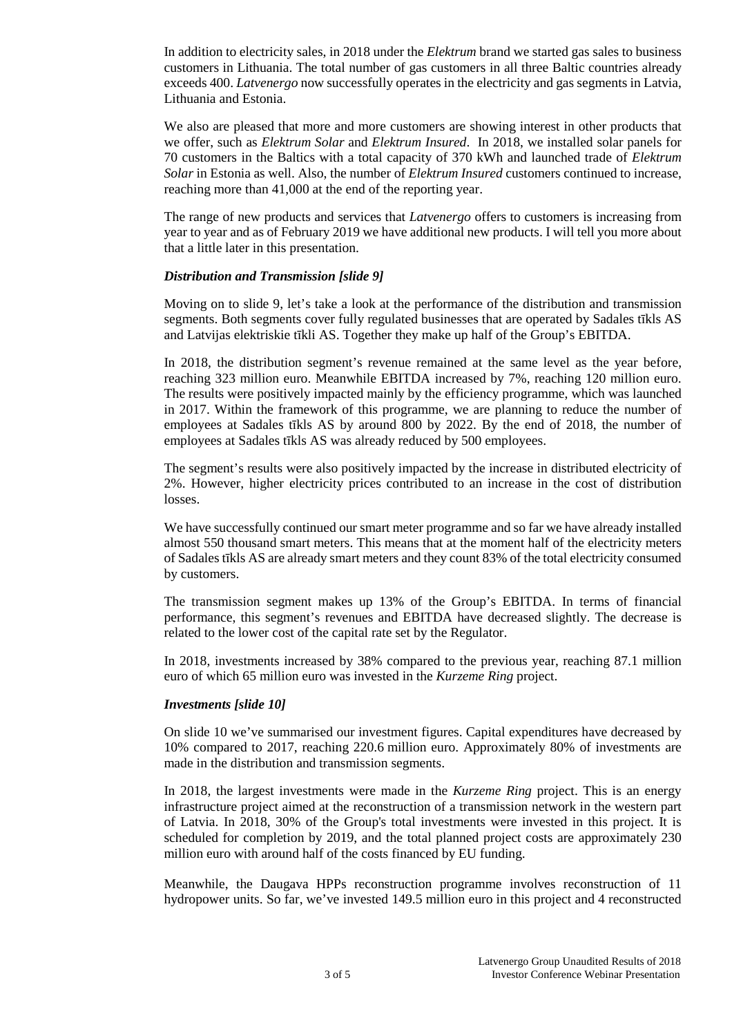In addition to electricity sales, in 2018 under the *Elektrum* brand we started gas sales to business customers in Lithuania. The total number of gas customers in all three Baltic countries already exceeds 400. *Latvenergo* now successfully operates in the electricity and gas segments in Latvia, Lithuania and Estonia.

We also are pleased that more and more customers are showing interest in other products that we offer, such as *Elektrum Solar* and *Elektrum Insured*. In 2018, we installed solar panels for 70 customers in the Baltics with a total capacity of 370 kWh and launched trade of *Elektrum Solar* in Estonia as well. Also, the number of *Elektrum Insured* customers continued to increase, reaching more than 41,000 at the end of the reporting year.

The range of new products and services that *Latvenergo* offers to customers is increasing from year to year and as of February 2019 we have additional new products. I will tell you more about that a little later in this presentation.

#### *Distribution and Transmission [slide 9]*

Moving on to slide 9, let's take a look at the performance of the distribution and transmission segments. Both segments cover fully regulated businesses that are operated by Sadales tīkls AS and Latvijas elektriskie tīkli AS. Together they make up half of the Group's EBITDA.

In 2018, the distribution segment's revenue remained at the same level as the year before, reaching 323 million euro. Meanwhile EBITDA increased by 7%, reaching 120 million euro. The results were positively impacted mainly by the efficiency programme, which was launched in 2017. Within the framework of this programme, we are planning to reduce the number of employees at Sadales tīkls AS by around 800 by 2022. By the end of 2018, the number of employees at Sadales tīkls AS was already reduced by 500 employees.

The segment's results were also positively impacted by the increase in distributed electricity of 2%. However, higher electricity prices contributed to an increase in the cost of distribution losses.

We have successfully continued our smart meter programme and so far we have already installed almost 550 thousand smart meters. This means that at the moment half of the electricity meters of Sadales tīkls AS are already smart meters and they count 83% of the total electricity consumed by customers.

The transmission segment makes up 13% of the Group's EBITDA. In terms of financial performance, this segment's revenues and EBITDA have decreased slightly. The decrease is related to the lower cost of the capital rate set by the Regulator.

In 2018, investments increased by 38% compared to the previous year, reaching 87.1 million euro of which 65 million euro was invested in the *Kurzeme Ring* project.

#### *Investments [slide 10]*

On slide 10 we've summarised our investment figures. Capital expenditures have decreased by 10% compared to 2017, reaching 220.6 million euro. Approximately 80% of investments are made in the distribution and transmission segments.

In 2018, the largest investments were made in the *Kurzeme Ring* project. This is an energy infrastructure project aimed at the reconstruction of a transmission network in the western part of Latvia. In 2018, 30% of the Group's total investments were invested in this project. It is scheduled for completion by 2019, and the total planned project costs are approximately 230 million euro with around half of the costs financed by EU funding.

Meanwhile, the Daugava HPPs reconstruction programme involves reconstruction of 11 hydropower units. So far, we've invested 149.5 million euro in this project and 4 reconstructed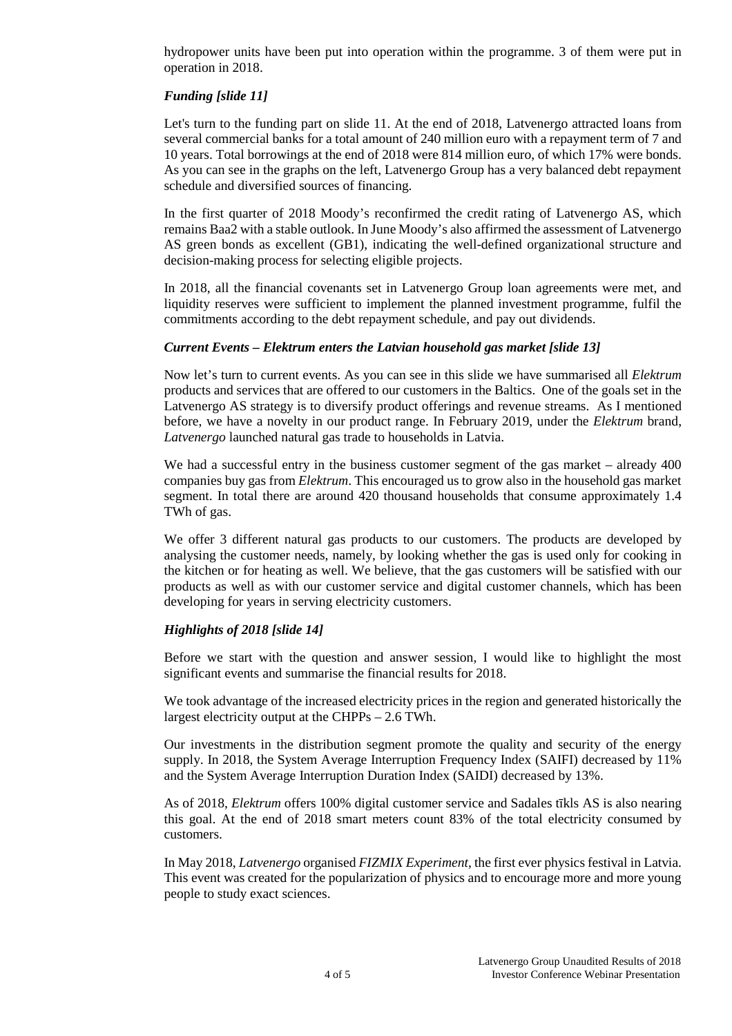hydropower units have been put into operation within the programme. 3 of them were put in operation in 2018.

# *Funding [slide 11]*

Let's turn to the funding part on slide 11. At the end of 2018, Latvenergo attracted loans from several commercial banks for a total amount of 240 million euro with a repayment term of 7 and 10 years. Total borrowings at the end of 2018 were 814 million euro, of which 17% were bonds. As you can see in the graphs on the left, Latvenergo Group has a very balanced debt repayment schedule and diversified sources of financing.

In the first quarter of 2018 Moody's reconfirmed the credit rating of Latvenergo AS, which remains Baa2 with a stable outlook. In June Moody's also affirmed the assessment of Latvenergo AS green bonds as excellent (GB1), indicating the well-defined organizational structure and decision-making process for selecting eligible projects.

In 2018, all the financial covenants set in Latvenergo Group loan agreements were met, and liquidity reserves were sufficient to implement the planned investment programme, fulfil the commitments according to the debt repayment schedule, and pay out dividends.

## *Current Events – Elektrum enters the Latvian household gas market [slide 13]*

Now let's turn to current events. As you can see in this slide we have summarised all *Elektrum*  products and services that are offered to our customers in the Baltics. One of the goals set in the Latvenergo AS strategy is to diversify product offerings and revenue streams. As I mentioned before, we have a novelty in our product range. In February 2019, under the *Elektrum* brand, *Latvenergo* launched natural gas trade to households in Latvia.

We had a successful entry in the business customer segment of the gas market – already 400 companies buy gas from *Elektrum*. This encouraged us to grow also in the household gas market segment. In total there are around 420 thousand households that consume approximately 1.4 TWh of gas.

We offer 3 different natural gas products to our customers. The products are developed by analysing the customer needs, namely, by looking whether the gas is used only for cooking in the kitchen or for heating as well. We believe, that the gas customers will be satisfied with our products as well as with our customer service and digital customer channels, which has been developing for years in serving electricity customers.

# *Highlights of 2018 [slide 14]*

Before we start with the question and answer session, I would like to highlight the most significant events and summarise the financial results for 2018.

We took advantage of the increased electricity prices in the region and generated historically the largest electricity output at the CHPPs – 2.6 TWh.

Our investments in the distribution segment promote the quality and security of the energy supply. In 2018, the System Average Interruption Frequency Index (SAIFI) decreased by 11% and the System Average Interruption Duration Index (SAIDI) decreased by 13%.

As of 2018, *Elektrum* offers 100% digital customer service and Sadales tīkls AS is also nearing this goal. At the end of 2018 smart meters count 83% of the total electricity consumed by customers.

In May 2018, *Latvenergo* organised *FIZMIX Experiment,* the first ever physics festival in Latvia. This event was created for the popularization of physics and to encourage more and more young people to study exact sciences.